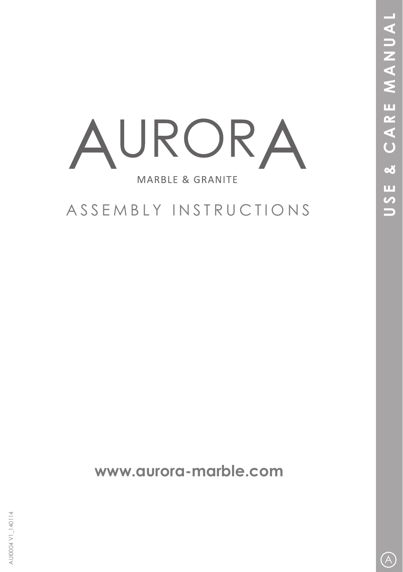

## ASSEMBLY INSTRUCTIONS

**www.aurora-marble.com**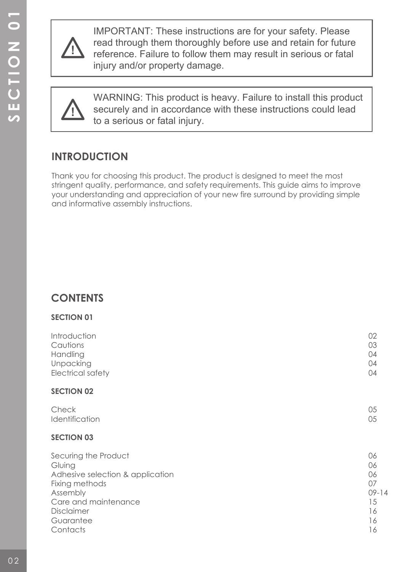

IMPORTANT: These instructions are for your safety. Please read through them thoroughly before use and retain for future reference. Failure to follow them may result in serious or fatal injury and/or property damage.



WARNING: This product is heavy. Failure to install this product securely and in accordance with these instructions could lead to a serious or fatal injury.

## **INTRODUCTION**

Thank you for choosing this product. The product is designed to meet the most stringent quality, performance, and safety requirements. This guide aims to improve your understanding and appreciation of your new fire surround by providing simple and informative assembly instructions.

## **CONTENTS**

**SECTION 01**

| <b>JLUITUITUI</b>                |           |
|----------------------------------|-----------|
| Introduction                     | 02        |
| Cautions                         | 03        |
| Handling                         | 04        |
| Unpacking                        | 04        |
| Electrical safety                | 04        |
| <b>SECTION 02</b>                |           |
| Check                            | 05        |
| Identification                   | 05        |
| <b>SECTION 03</b>                |           |
| Securing the Product             | 06        |
| Gluing                           | 06        |
| Adhesive selection & application | 06        |
| Fixing methods                   | 07        |
| Assembly                         | $09 - 14$ |
| Care and maintenance             | 15        |
| Disclaimer                       | 16        |
| Guarantee                        | 16        |
| Contacts                         | 16        |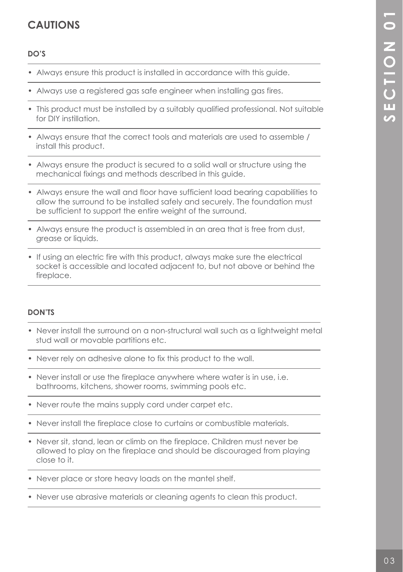## **CAUTIONS**

#### **DO'S**

- 1 • Always ensure this product is installed in accordance with this guide.
- Always use a registered gas safe engineer when installing gas fires.
- This product must be installed by a suitably qualified professional. Not suitable for DIY instillation.
- Always ensure that the correct tools and materials are used to assemble / install this product.
- Always ensure the product is secured to a solid wall or structure using the mechanical fixings and methods described in this guide.
- Always ensure the wall and floor have sufficient load bearing capabilities to allow the surround to be installed safely and securely. The foundation must be sufficient to support the entire weight of the surround.
- 1 • Always ensure the product is assembled in an area that is free from dust, grease or liquids.
- If using an electric fire with this product, always make sure the electrical socket is accessible and located adjacent to, but not above or behind the fireplace.

#### **DON'TS**

 $\overline{a}$ 

1

j

 $\overline{a}$ 

- j • Never install the surround on a non-structural wall such as a lightweight metal stud wall or movable partitions etc.
- Never rely on adhesive alone to fix this product to the wall.
- Never install or use the fireplace anywhere where water is in use, i.e. bathrooms, kitchens, shower rooms, swimming pools etc.
- Never route the mains supply cord under carpet etc.
- Never install the fireplace close to curtains or combustible materials.
- Never sit, stand, lean or climb on the fireplace. Children must never be allowed to play on the fireplace and should be discouraged from playing close to it.
- Never place or store heavy loads on the mantel shelf.
- Never use abrasive materials or cleaning agents to clean this product.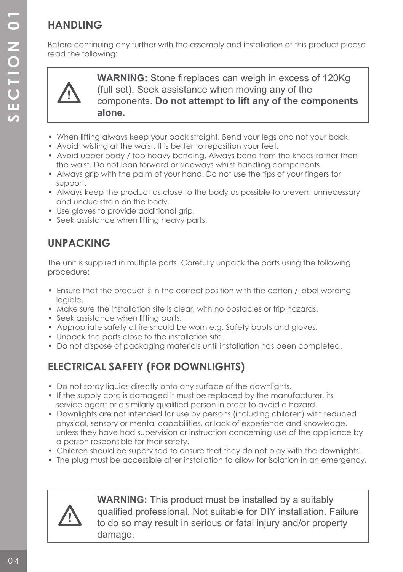## **HANDLING**

Before continuing any further with the assembly and installation of this product please read the following:



**WARNING:** Stone fireplaces can weigh in excess of 120Kg (full set). Seek assistance when moving any of the components. **Do not attempt to lift any of the components alone.** 

- When lifting always keep your back straight. Bend your legs and not your back.
- Avoid twisting at the waist. It is better to reposition your feet.
- Avoid upper body / top heavy bending. Always bend from the knees rather than the waist. Do not lean forward or sideways whilst handling components.
- Always grip with the palm of your hand. Do not use the tips of your fingers for support.
- Always keep the product as close to the body as possible to prevent unnecessary and undue strain on the body.
- Use gloves to provide additional grip.
- Seek assistance when lifting heavy parts.

## **UNPACKING**

The unit is supplied in multiple parts. Carefully unpack the parts using the following procedure:

- Ensure that the product is in the correct position with the carton / label wording legible.
- Make sure the installation site is clear, with no obstacles or trip hazards.
- Seek assistance when lifting parts.
- Appropriate safety attire should be worn e.g. Safety boots and gloves.
- Unpack the parts close to the installation site.
- Do not dispose of packaging materials until installation has been completed.

## **ELECTRICAL SAFETY (FOR DOWNLIGHTS)**

- Do not spray liquids directly onto any surface of the downlights.
- If the supply cord is damaged it must be replaced by the manufacturer, its service agent or a similarly qualified person in order to avoid a hazard.
- Downlights are not intended for use by persons (including children) with reduced physical, sensory or mental capabilities, or lack of experience and knowledge, unless they have had supervision or instruction concerning use of the appliance by a person responsible for their safety.
- Children should be supervised to ensure that they do not play with the downlights.
- The plug must be accessible after installation to allow for isolation in an emergency.



**WARNING:** This product must be installed by a suitably qualified professional. Not suitable for DIY installation. Failure to do so may result in serious or fatal injury and/or property damage.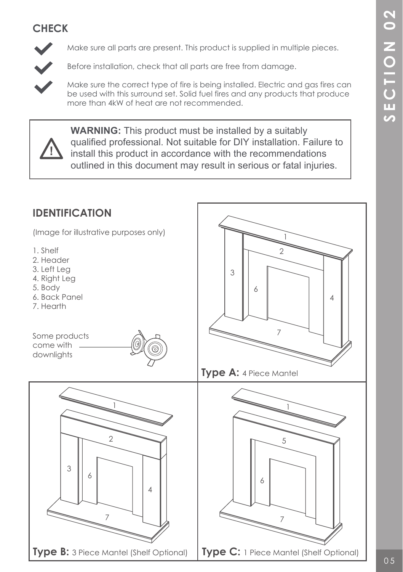## **CHECK**



Make sure all parts are present. This product is supplied in multiple pieces.

Before installation, check that all parts are free from damage.



 Make sure the correct type of fire is being installed. Electric and gas fires can be used with this surround set. Solid fuel fires and any products that produce more than 4kW of heat are not recommended.



**WARNING:** This product must be installed by a suitably qualified professional. Not suitable for DIY installation. Failure to install this product in accordance with the recommendations outlined in this document may result in serious or fatal injuries.

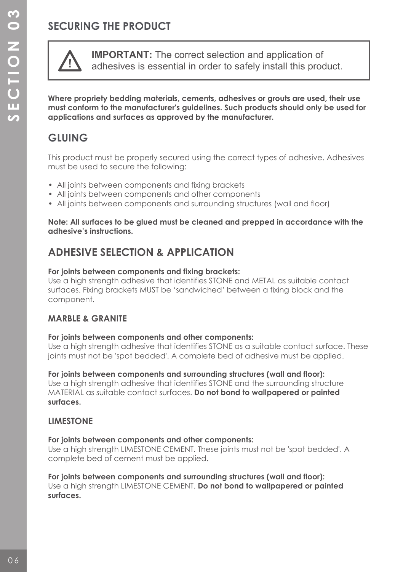## **SECURING THE PRODUCT**



**IMPORTANT:** The correct selection and application of adhesives is essential in order to safely install this product.

**Where propriety bedding materials, cements, adhesives or grouts are used, their use must conform to the manufacturer's guidelines. Such products should only be used for applications and surfaces as approved by the manufacturer.** 

## **GLUING**

This product must be properly secured using the correct types of adhesive. Adhesives must be used to secure the following:

- All joints between components and fixing brackets
- All joints between components and other components
- All joints between components and surrounding structures (wall and floor)

#### **Note: All surfaces to be glued must be cleaned and prepped in accordance with the adhesive's instructions.**

## **ADHESIVE SELECTION & APPLICATION**

#### **For joints between components and fixing brackets:**

Use a high strength adhesive that identifies STONE and METAL as suitable contact surfaces. Fixing brackets MUST be 'sandwiched' between a fixing block and the component.

#### **MARBLE & GRANITE**

#### **For joints between components and other components:**

Use a high strength adhesive that identifies STONE as a suitable contact surface. These joints must not be 'spot bedded'. A complete bed of adhesive must be applied.

**For joints between components and surrounding structures (wall and floor):** Use a high strength adhesive that identifies STONE and the surrounding structure MATERIAL as suitable contact surfaces. **Do not bond to wallpapered or painted surfaces.**

#### **LIMESTONE**

#### **For joints between components and other components:**

Use a high strength LIMESTONE CEMENT. These joints must not be 'spot bedded'. A complete bed of cement must be applied.

**For joints between components and surrounding structures (wall and floor):** Use a high strength LIMESTONE CEMENT. **Do not bond to wallpapered or painted surfaces.**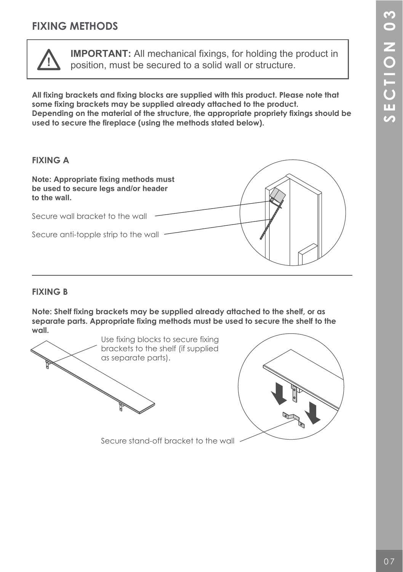## **FIXING METHODS**



**IMPORTANT:** All mechanical fixings, for holding the product in position, must be secured to a solid wall or structure.

**All fixing brackets and fixing blocks are supplied with this product. Please note that some fixing brackets may be supplied already attached to the product. Depending on the material of the structure, the appropriate propriety fixings should be used to secure the fireplace (using the methods stated below).**



#### **FIXING B**

**Note: Shelf fixing brackets may be supplied already attached to the shelf, or as separate parts. Appropriate fixing methods must be used to secure the shelf to the wall.**



Secure stand-off bracket to the wall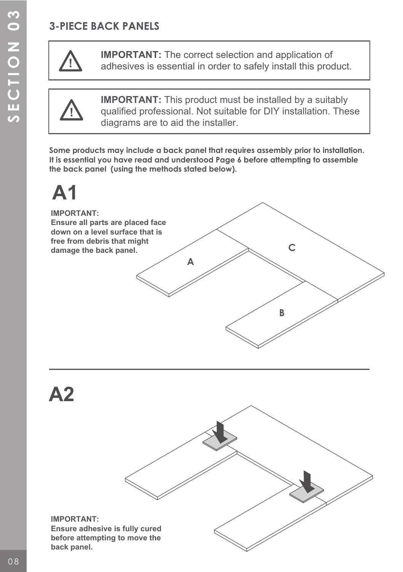## **3-PIECE BACK PANELS**



**IMPORTANT:** The correct selection and application of adhesives is essential in order to safely install this product.



**IMPORTANT:** This product must be installed by a suitably qualified professional. Not suitable for DIY installation. These diagrams are to aid the installer.

**Some products may include a back panel that requires assembly prior to installation. It is essential you have read and understood Page 6 before attempting to assemble the back panel (using the methods stated below).**

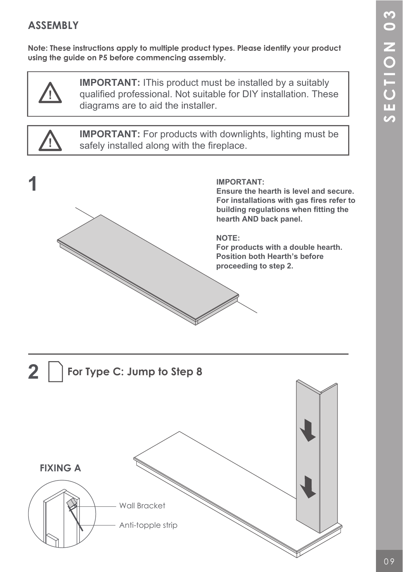## **ASSEMBLY**

**Note: These instructions apply to multiple product types. Please identify your product using the guide on P5 before commencing assembly.**



**IMPORTANT:** IThis product must be installed by a suitably qualified professional. Not suitable for DIY installation. These diagrams are to aid the installer.



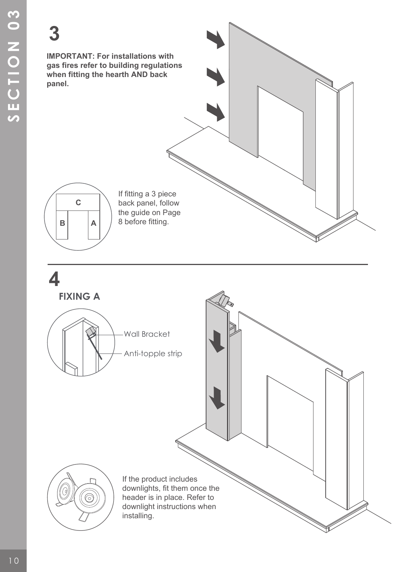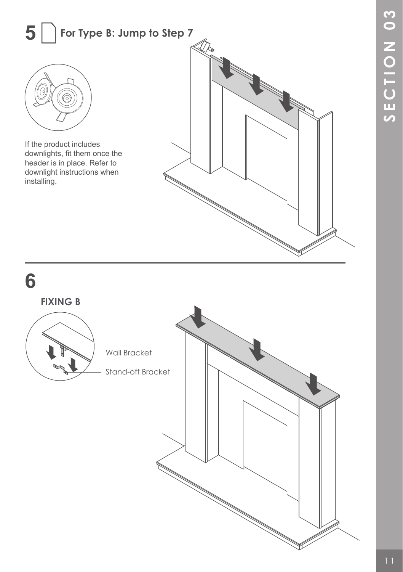### **5 For Type B: Jump to Step 7**



If the product includes downlights, fit them once the header is in place. Refer to downlight instructions when installing.



**6**

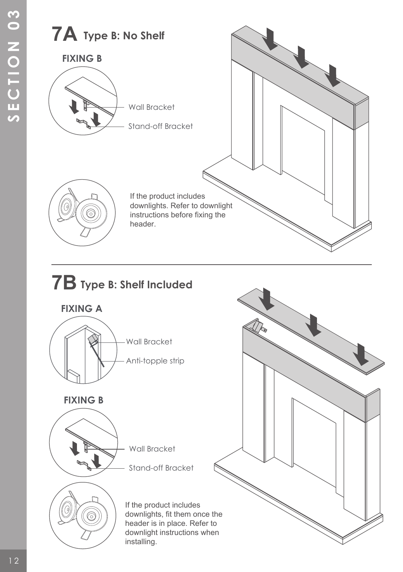

installing.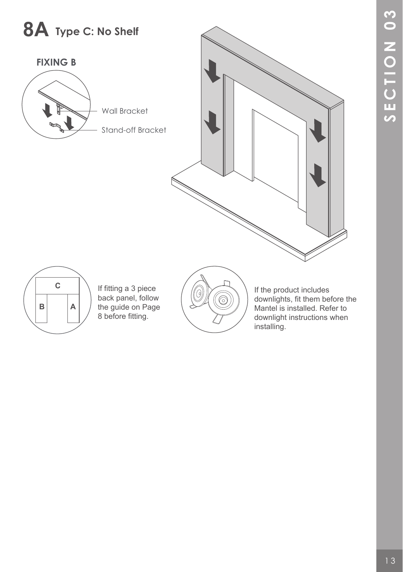# **8A Type C: No Shelf**







**C** If fitting a 3 piece back panel, follow the guide on Page 8 before fitting.



If the product includes downlights, fit them before the Mantel is installed. Refer to downlight instructions when installing.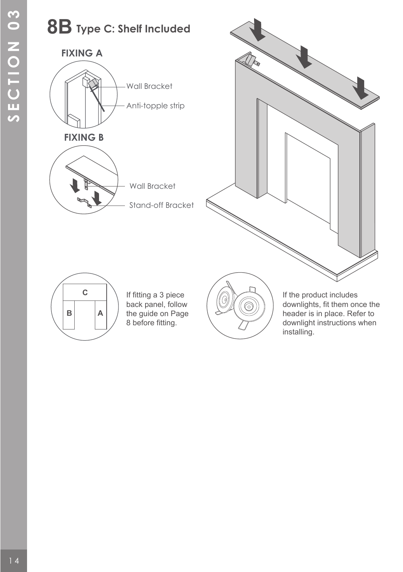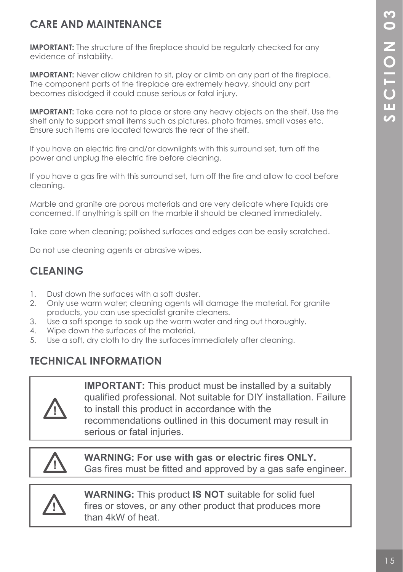## **CARE AND MAINTENANCE**

**IMPORTANT:** The structure of the fireplace should be regularly checked for any evidence of instability.

**IMPORTANT:** Never allow children to sit, play or climb on any part of the fireplace. The component parts of the fireplace are extremely heavy, should any part becomes dislodged it could cause serious or fatal injury.

**IMPORTANT:** Take care not to place or store any heavy objects on the shelf. Use the shelf only to support small items such as pictures, photo frames, small vases etc. Ensure such items are located towards the rear of the shelf.

If you have an electric fire and/or downlights with this surround set, turn off the power and unplug the electric fire before cleaning.

If you have a gas fire with this surround set, turn off the fire and allow to cool before cleaning.

Marble and granite are porous materials and are very delicate where liquids are concerned. If anything is spilt on the marble it should be cleaned immediately.

Take care when cleaning; polished surfaces and edges can be easily scratched.

Do not use cleaning agents or abrasive wipes.

## **CLEANING**

- 1. Dust down the surfaces with a soft duster.
- 2. Only use warm water; cleaning agents will damage the material. For granite products, you can use specialist granite cleaners.<br>3. Use a soft sponge to soak up the warm water and
- Use a soft sponge to soak up the warm water and ring out thoroughly.
- 4. Wipe down the surfaces of the material.
- 5. Use a soft, dry cloth to dry the surfaces immediately after cleaning.

## **TECHNICAL INFORMATION**



**IMPORTANT:** This product must be installed by a suitably qualified professional. Not suitable for DIY installation. Failure to install this product in accordance with the recommendations outlined in this document may result in serious or fatal injuries.

**WARNING: For use with gas or electric fires ONLY.** Gas fires must be fitted and approved by a gas safe engineer.



**WARNING:** This product **IS NOT** suitable for solid fuel fires or stoves, or any other product that produces more than 4kW of heat.